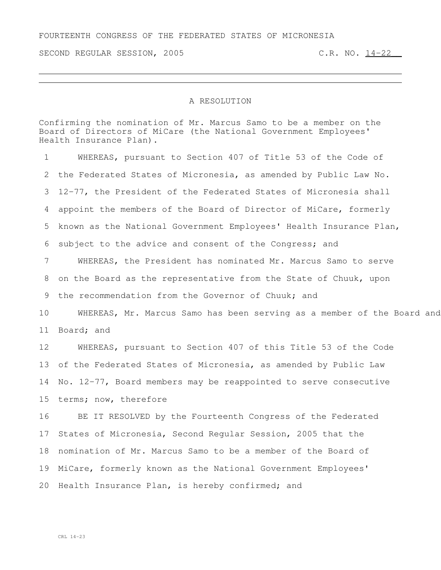SECOND REGULAR SESSION, 2005 C.R. NO. 14-22

## A RESOLUTION

Confirming the nomination of Mr. Marcus Samo to be a member on the Board of Directors of MiCare (the National Government Employees' Health Insurance Plan).

 WHEREAS, pursuant to Section 407 of Title 53 of the Code of the Federated States of Micronesia, as amended by Public Law No. 12-77, the President of the Federated States of Micronesia shall appoint the members of the Board of Director of MiCare, formerly known as the National Government Employees' Health Insurance Plan, subject to the advice and consent of the Congress; and WHEREAS, the President has nominated Mr. Marcus Samo to serve on the Board as the representative from the State of Chuuk, upon the recommendation from the Governor of Chuuk; and 10 WHEREAS, Mr. Marcus Samo has been serving as a member of the Board and Board; and WHEREAS, pursuant to Section 407 of this Title 53 of the Code of the Federated States of Micronesia, as amended by Public Law No. 12-77, Board members may be reappointed to serve consecutive terms; now, therefore BE IT RESOLVED by the Fourteenth Congress of the Federated States of Micronesia, Second Regular Session, 2005 that the nomination of Mr. Marcus Samo to be a member of the Board of MiCare, formerly known as the National Government Employees' Health Insurance Plan, is hereby confirmed; and